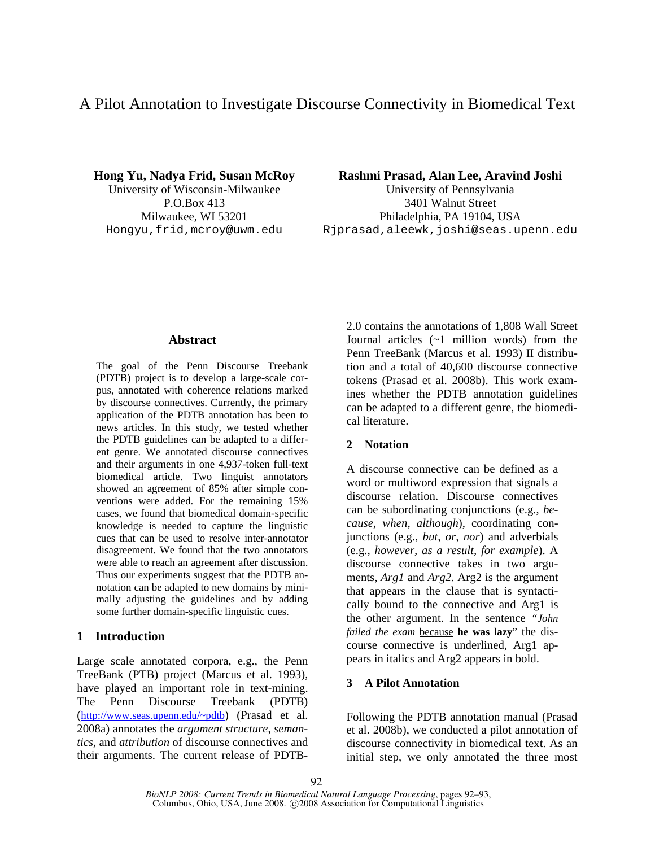# A Pilot Annotation to Investigate Discourse Connectivity in Biomedical Text

**Hong Yu, Nadya Frid, Susan McRoy Rashmi Prasad, Alan Lee, Aravind Joshi** University of Wisconsin-Milwaukee University of Pennsylvania P.O.Box 413 3401 Walnut Street Milwaukee, WI 53201 Philadelphia, PA 19104, USA Hongyu,frid,mcroy@uwm.edu Rjprasad,aleewk,joshi@seas.upenn.edu

### **Abstract**

The goal of the Penn Discourse Treebank (PDTB) project is to develop a large-scale corpus, annotated with coherence relations marked by discourse connectives. Currently, the primary application of the PDTB annotation has been to news articles. In this study, we tested whether the PDTB guidelines can be adapted to a different genre. We annotated discourse connectives and their arguments in one 4,937-token full-text biomedical article. Two linguist annotators showed an agreement of 85% after simple conventions were added. For the remaining 15% cases, we found that biomedical domain-specific knowledge is needed to capture the linguistic cues that can be used to resolve inter-annotator disagreement. We found that the two annotators were able to reach an agreement after discussion. Thus our experiments suggest that the PDTB annotation can be adapted to new domains by minimally adjusting the guidelines and by adding some further domain-specific linguistic cues.

# **1 Introduction**

Large scale annotated corpora, e.g., the Penn TreeBank (PTB) project (Marcus et al. 1993), have played an important role in text-mining. The Penn Discourse Treebank (PDTB) (http://www.seas.upenn.edu/~pdtb) (Prasad et al. 2008a) annotates the *argument structure*, *semantics,* and *attribution* of discourse connectives and their arguments. The current release of PDTB-

2.0 contains the annotations of 1,808 Wall Street Journal articles (~1 million words) from the Penn TreeBank (Marcus et al. 1993) II distribution and a total of 40,600 discourse connective tokens (Prasad et al. 2008b). This work examines whether the PDTB annotation guidelines can be adapted to a different genre, the biomedical literature.

# **2 Notation**

A discourse connective can be defined as a word or multiword expression that signals a discourse relation. Discourse connectives can be subordinating conjunctions (e.g., *because, when, although*), coordinating conjunctions (e.g., *but, or, nor*) and adverbials (e.g., *however, as a result, for example*). A discourse connective takes in two arguments, *Arg1* and *Arg2.* Arg2 is the argument that appears in the clause that is syntactically bound to the connective and Arg1 is the other argument. In the sentence *"John failed the exam* because **he was lazy**" the discourse connective is underlined, Arg1 appears in italics and Arg2 appears in bold.

# **3 A Pilot Annotation**

Following the PDTB annotation manual (Prasad et al. 2008b), we conducted a pilot annotation of discourse connectivity in biomedical text. As an initial step, we only annotated the three most